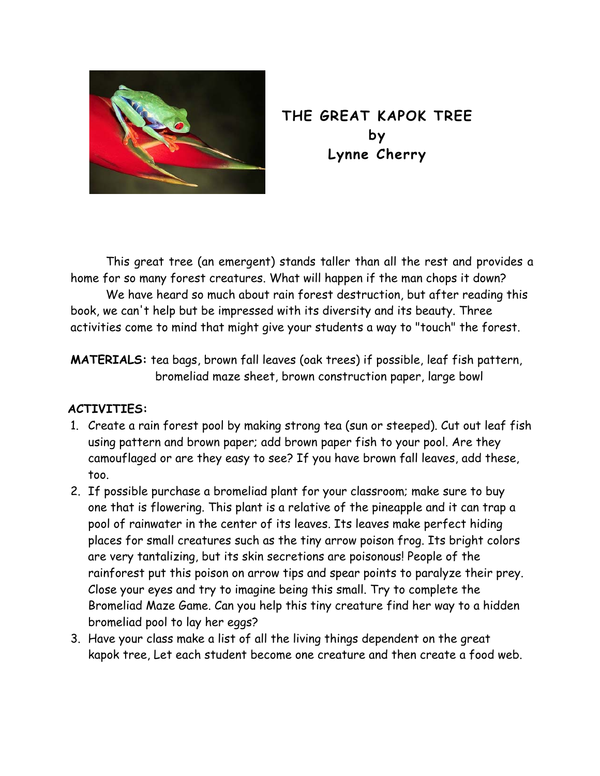

## **THE GREAT KAPOK TREE by Lynne Cherry**

This great tree (an emergent) stands taller than all the rest and provides a home for so many forest creatures. What will happen if the man chops it down?

We have heard so much about rain forest destruction, but after reading this book, we can't help but be impressed with its diversity and its beauty. Three activities come to mind that might give your students a way to "touch" the forest.

**MATERIALS:** tea bags, brown fall leaves (oak trees) if possible, leaf fish pattern, bromeliad maze sheet, brown construction paper, large bowl

## **ACTIVITIES:**

- 1. Create a rain forest pool by making strong tea (sun or steeped). Cut out leaf fish using pattern and brown paper; add brown paper fish to your pool. Are they camouflaged or are they easy to see? If you have brown fall leaves, add these, too.
- 2. If possible purchase a bromeliad plant for your classroom; make sure to buy one that is flowering. This plant is a relative of the pineapple and it can trap a pool of rainwater in the center of its leaves. Its leaves make perfect hiding places for small creatures such as the tiny arrow poison frog. Its bright colors are very tantalizing, but its skin secretions are poisonous! People of the rainforest put this poison on arrow tips and spear points to paralyze their prey. Close your eyes and try to imagine being this small. Try to complete the Bromeliad Maze Game. Can you help this tiny creature find her way to a hidden bromeliad pool to lay her eggs?
- 3. Have your class make a list of all the living things dependent on the great kapok tree, Let each student become one creature and then create a food web.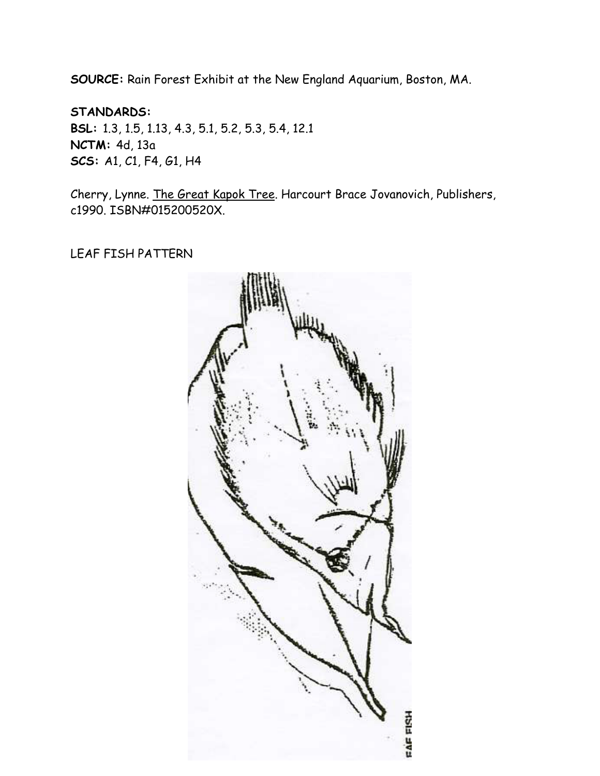**SOURCE:** Rain Forest Exhibit at the New England Aquarium, Boston, MA.

**STANDARDS: BSL:** 1.3, 1.5, 1.13, 4.3, 5.1, 5.2, 5.3, 5.4, 12.1 **NCTM:** 4d, 13a **SCS:** A1, C1, F4, G1, H4

Cherry, Lynne. The Great Kapok Tree. Harcourt Brace Jovanovich, Publishers, c1990. ISBN#015200520X.

LEAF FISH PATTERN